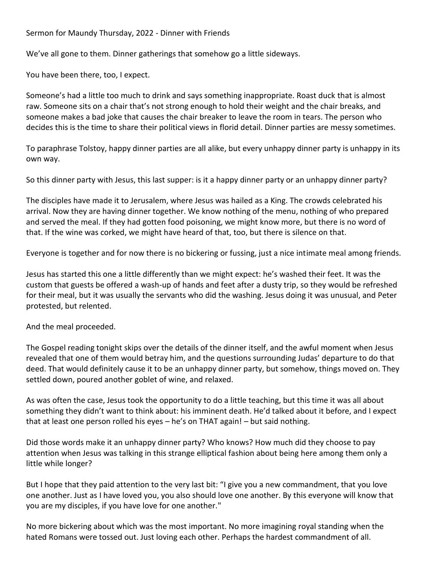## Sermon for Maundy Thursday, 2022 - Dinner with Friends

We've all gone to them. Dinner gatherings that somehow go a little sideways.

You have been there, too, I expect.

Someone's had a little too much to drink and says something inappropriate. Roast duck that is almost raw. Someone sits on a chair that's not strong enough to hold their weight and the chair breaks, and someone makes a bad joke that causes the chair breaker to leave the room in tears. The person who decides this is the time to share their political views in florid detail. Dinner parties are messy sometimes.

To paraphrase Tolstoy, happy dinner parties are all alike, but every unhappy dinner party is unhappy in its own way.

So this dinner party with Jesus, this last supper: is it a happy dinner party or an unhappy dinner party?

The disciples have made it to Jerusalem, where Jesus was hailed as a King. The crowds celebrated his arrival. Now they are having dinner together. We know nothing of the menu, nothing of who prepared and served the meal. If they had gotten food poisoning, we might know more, but there is no word of that. If the wine was corked, we might have heard of that, too, but there is silence on that.

Everyone is together and for now there is no bickering or fussing, just a nice intimate meal among friends.

Jesus has started this one a little differently than we might expect: he's washed their feet. It was the custom that guests be offered a wash-up of hands and feet after a dusty trip, so they would be refreshed for their meal, but it was usually the servants who did the washing. Jesus doing it was unusual, and Peter protested, but relented.

And the meal proceeded.

The Gospel reading tonight skips over the details of the dinner itself, and the awful moment when Jesus revealed that one of them would betray him, and the questions surrounding Judas' departure to do that deed. That would definitely cause it to be an unhappy dinner party, but somehow, things moved on. They settled down, poured another goblet of wine, and relaxed.

As was often the case, Jesus took the opportunity to do a little teaching, but this time it was all about something they didn't want to think about: his imminent death. He'd talked about it before, and I expect that at least one person rolled his eyes – he's on THAT again! – but said nothing.

Did those words make it an unhappy dinner party? Who knows? How much did they choose to pay attention when Jesus was talking in this strange elliptical fashion about being here among them only a little while longer?

But I hope that they paid attention to the very last bit: "I give you a new commandment, that you love one another. Just as I have loved you, you also should love one another. By this everyone will know that you are my disciples, if you have love for one another."

No more bickering about which was the most important. No more imagining royal standing when the hated Romans were tossed out. Just loving each other. Perhaps the hardest commandment of all.